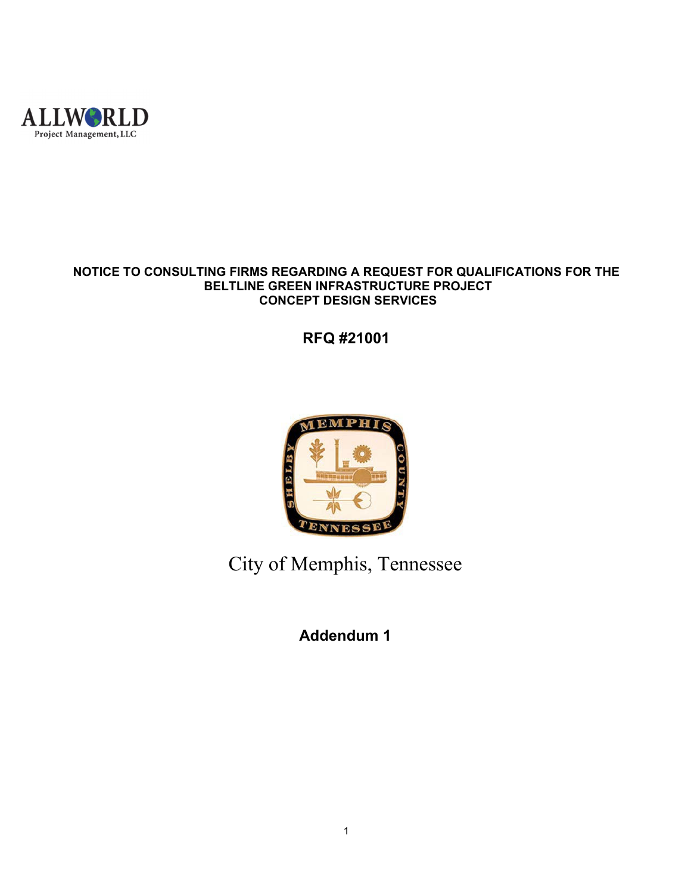

## **NOTICE TO CONSULTING FIRMS REGARDING A REQUEST FOR QUALIFICATIONS FOR THE BELTLINE GREEN INFRASTRUCTURE PROJECT CONCEPT DESIGN SERVICES**

**RFQ #21001** 



City of Memphis, Tennessee

**Addendum 1**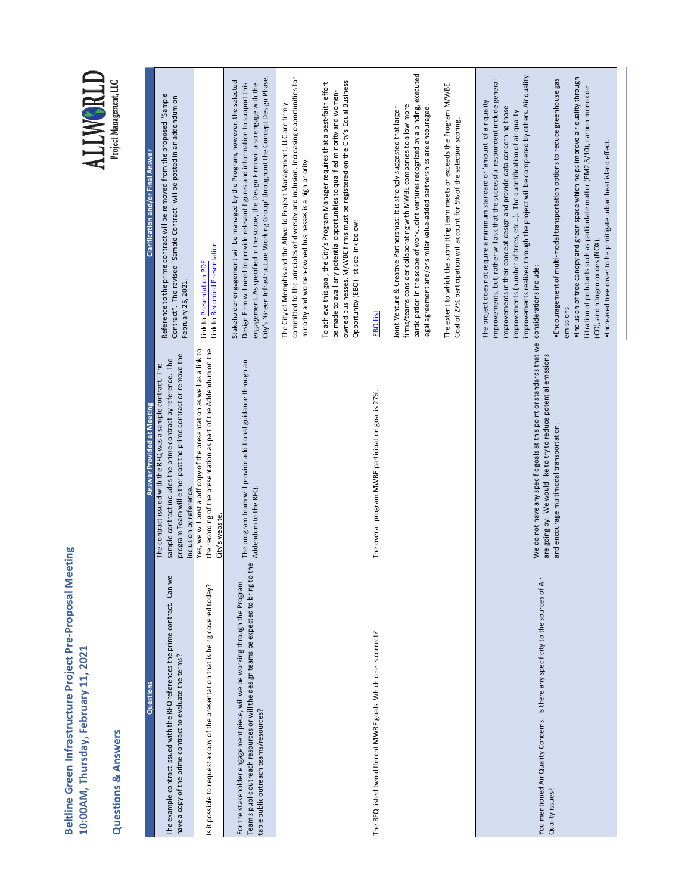**Beltline Green Infrastructure Project Pre-Proposal Meeting**<br>10:00AM, Thursday, February 11, 2021 **Beltline Green Infrastructure Project Pre‐Proposal Meeting 10:00AM, Thursday, February 11, 2021**

## **Questions & Answers Questions & Answers**

| Clarification and/or Final Answer | Reference to the prime contract will be removed from the proposed "Sample<br>Contract". The revised "Sample Contract" will be posted in an addendum on<br>February 25, 2021.                                              | Link to Recorded Presentation<br>Link to Presentation PDF                                                                                                    | City's 'Green Infrastructure Working Group' throughout the Concept Design Phase.<br>Stakeholder engagement will be managed by the Program, however, the selected<br>Design Firm will need to provide relevant figures and information to support this<br>engagement. As specified in the scope, the Design Firm will also engage with the | committed to the principles of diversity and inclusion. Increasing opportunities for<br>The City of Memphis and the Allworld Project Management, LLC are firmly<br>minority and women-owned businesses is a high priority. | owned businesses. M/WBE firms must be registered on the City's Equal Business<br>To achieve this goal, the City's Program Manager requires that a best-faith effort<br>be made to avail any potential opportunities to qualified minority and women-<br>Opportunity (EBO) list see link below: | EBO List                                                       | participation in the scope of work. Joint ventures recognized by a binding, executed<br>firms/teams consider collaborating with MWBE companies to allow more<br>legal agreement and/or similar value-added partnerships are encouraged.<br>Joint Venture & Creative Partnerships: It is strongly suggested that larger | The extent to which the submitting team meets or exceeds the Program M/WBE<br>Goal of 27% participation will account for 5% of the selection scoring. | improvements realized through the project will be completed by others. Air quality<br>. Inclusion of tree canopy and green space which helps improve air quality through<br>· Encouragement of multi-modal transportation options to reduce greenhouse gas<br>improvements, but, rather will ask that the successful respondent include general<br>filtration of pollutants such as particulate matter (PM2.5/10), carbon monoxide<br>The project does not require a minimum standard or 'amount' of air quality<br>improvements in their concept design and provide data concerning those<br>improvements (number of trees, etc). The quantification of air quality<br>· Increased tree cover to help mitigate urban heat island effect.<br>(CO), and nitogen oxides (NOX)<br>considerations include:<br>emissions. |
|-----------------------------------|---------------------------------------------------------------------------------------------------------------------------------------------------------------------------------------------------------------------------|--------------------------------------------------------------------------------------------------------------------------------------------------------------|-------------------------------------------------------------------------------------------------------------------------------------------------------------------------------------------------------------------------------------------------------------------------------------------------------------------------------------------|----------------------------------------------------------------------------------------------------------------------------------------------------------------------------------------------------------------------------|------------------------------------------------------------------------------------------------------------------------------------------------------------------------------------------------------------------------------------------------------------------------------------------------|----------------------------------------------------------------|------------------------------------------------------------------------------------------------------------------------------------------------------------------------------------------------------------------------------------------------------------------------------------------------------------------------|-------------------------------------------------------------------------------------------------------------------------------------------------------|----------------------------------------------------------------------------------------------------------------------------------------------------------------------------------------------------------------------------------------------------------------------------------------------------------------------------------------------------------------------------------------------------------------------------------------------------------------------------------------------------------------------------------------------------------------------------------------------------------------------------------------------------------------------------------------------------------------------------------------------------------------------------------------------------------------------|
| Answer Provided at Meeting        | program Team will either post the prime contract or remove the<br>sample contract includes the prime contract by reference. The<br>The contract issued with the RFQ was a sample contract. The<br>inclusion by reference. | the recording of the presentation as part of the Addendum on the<br>Yes, we will post a pdf copy of the presentation as well as a link to<br>City's website. | The program team will provide additional guidance through an<br>Addendum to the RFQ.                                                                                                                                                                                                                                                      |                                                                                                                                                                                                                            |                                                                                                                                                                                                                                                                                                | The overall program MWBE participation goal is 27%.            |                                                                                                                                                                                                                                                                                                                        |                                                                                                                                                       | We do not have any specific goals at this point or standards that we<br>are going by. We would like to try to reduce potential emissions<br>and encourage multimodal transportation.                                                                                                                                                                                                                                                                                                                                                                                                                                                                                                                                                                                                                                 |
| Questions                         | The example contract issued with the RFQ references the prime contract. Can we<br>have a copy of the prime contract to evaluate the terms?                                                                                | is it possible to request a copy of the presentation that is being covered today?                                                                            | Team's public outreach resources or will the design teams be expected to bring to the<br>For the stakeholder engagement piece, will we be working through the Program<br>table public outreach teams/resources?                                                                                                                           |                                                                                                                                                                                                                            |                                                                                                                                                                                                                                                                                                | The RFQ listed two different MWBE goals. Which one is correct? |                                                                                                                                                                                                                                                                                                                        |                                                                                                                                                       | You mentioned Air Quality Concerns. Is there any specificity to the sources of Air<br>Quality issues?                                                                                                                                                                                                                                                                                                                                                                                                                                                                                                                                                                                                                                                                                                                |